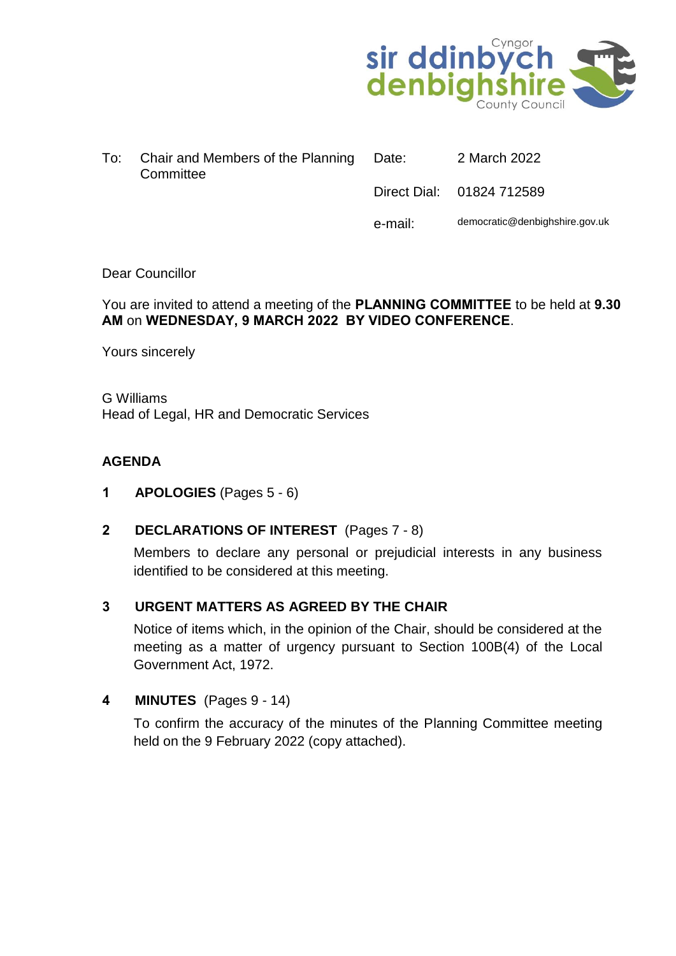

| To: T | Chair and Members of the Planning Date:<br>Committee | 2 March 2022              |
|-------|------------------------------------------------------|---------------------------|
|       |                                                      | Direct Dial: 01824 712589 |

e-mail: democratic@denbighshire.gov.uk

## Dear Councillor

### You are invited to attend a meeting of the **PLANNING COMMITTEE** to be held at **9.30 AM** on **WEDNESDAY, 9 MARCH 2022 BY VIDEO CONFERENCE**.

Yours sincerely

G Williams Head of Legal, HR and Democratic Services

# **AGENDA**

- **1 APOLOGIES** (Pages 5 6)
- **2 DECLARATIONS OF INTEREST** (Pages 7 8)

Members to declare any personal or prejudicial interests in any business identified to be considered at this meeting.

# **3 URGENT MATTERS AS AGREED BY THE CHAIR**

Notice of items which, in the opinion of the Chair, should be considered at the meeting as a matter of urgency pursuant to Section 100B(4) of the Local Government Act, 1972.

# **4 MINUTES** (Pages 9 - 14)

To confirm the accuracy of the minutes of the Planning Committee meeting held on the 9 February 2022 (copy attached).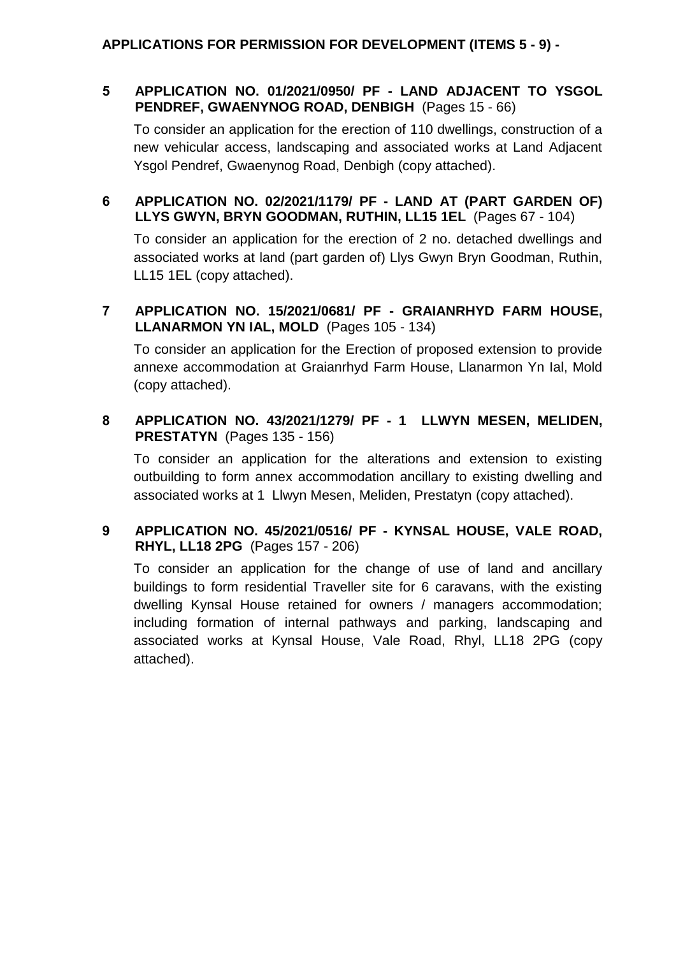## **5 APPLICATION NO. 01/2021/0950/ PF - LAND ADJACENT TO YSGOL PENDREF, GWAENYNOG ROAD, DENBIGH** (Pages 15 - 66)

To consider an application for the erection of 110 dwellings, construction of a new vehicular access, landscaping and associated works at Land Adjacent Ysgol Pendref, Gwaenynog Road, Denbigh (copy attached).

## **6 APPLICATION NO. 02/2021/1179/ PF - LAND AT (PART GARDEN OF) LLYS GWYN, BRYN GOODMAN, RUTHIN, LL15 1EL** (Pages 67 - 104)

To consider an application for the erection of 2 no. detached dwellings and associated works at land (part garden of) Llys Gwyn Bryn Goodman, Ruthin, LL15 1EL (copy attached).

## **7 APPLICATION NO. 15/2021/0681/ PF - GRAIANRHYD FARM HOUSE, LLANARMON YN IAL, MOLD** (Pages 105 - 134)

To consider an application for the Erection of proposed extension to provide annexe accommodation at Graianrhyd Farm House, Llanarmon Yn Ial, Mold (copy attached).

## **8 APPLICATION NO. 43/2021/1279/ PF - 1 LLWYN MESEN, MELIDEN, PRESTATYN** (Pages 135 - 156)

To consider an application for the alterations and extension to existing outbuilding to form annex accommodation ancillary to existing dwelling and associated works at 1 Llwyn Mesen, Meliden, Prestatyn (copy attached).

# **9 APPLICATION NO. 45/2021/0516/ PF - KYNSAL HOUSE, VALE ROAD, RHYL, LL18 2PG** (Pages 157 - 206)

To consider an application for the change of use of land and ancillary buildings to form residential Traveller site for 6 caravans, with the existing dwelling Kynsal House retained for owners / managers accommodation; including formation of internal pathways and parking, landscaping and associated works at Kynsal House, Vale Road, Rhyl, LL18 2PG (copy attached).